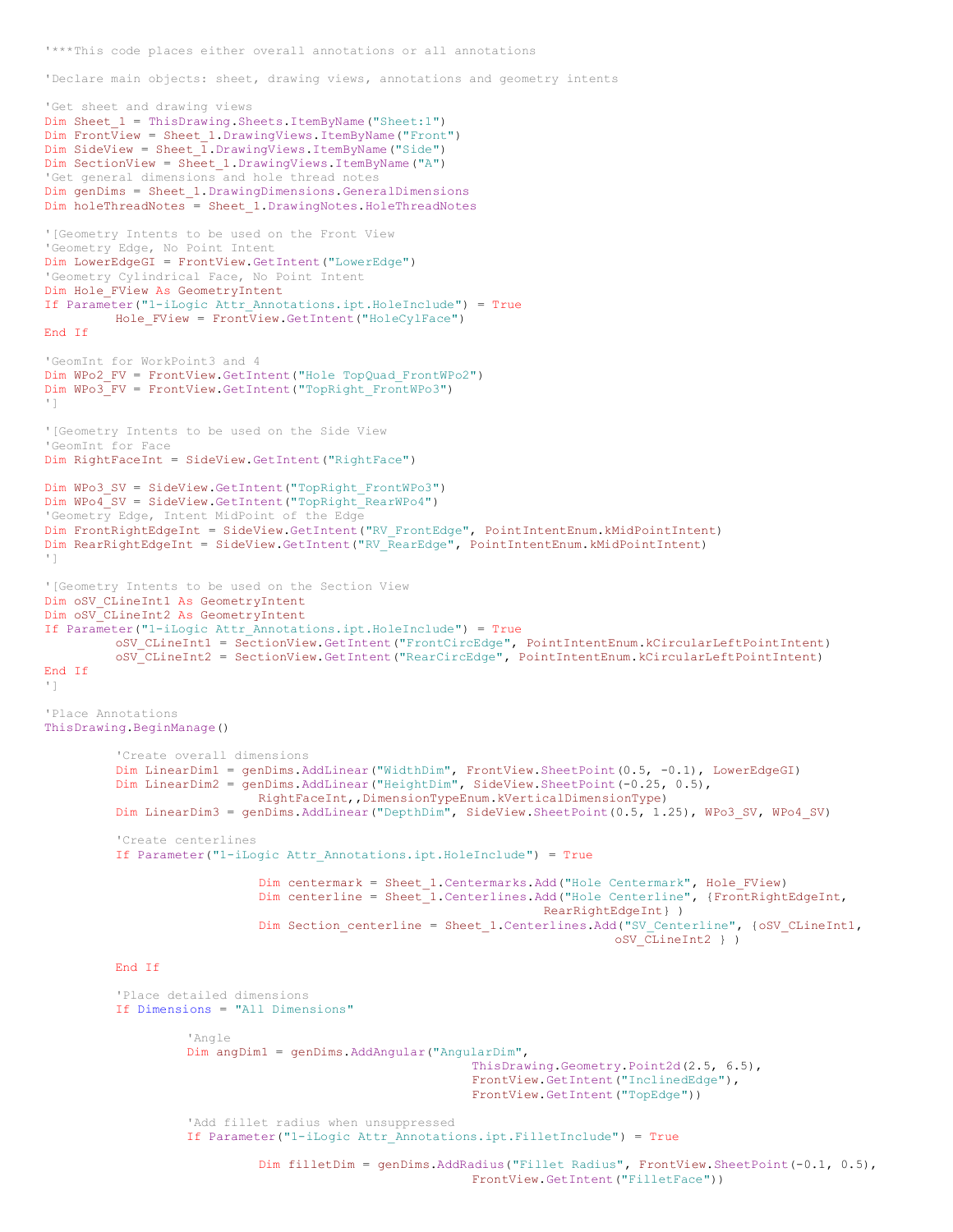'\*\*\*This code places either overall annotations or all annotations

'Declare main objects: sheet, drawing views, annotations and geometry intents

```
'Get sheet and drawing views
Dim Sheet_1 = ThisDrawing.Sheets.ItemByName("Sheet:1")
Dim Front\overline{V}iew = Sheet 1.DrawingViews.ItemByName("Front")
Dim SideView = Sheet \overline{1}. DrawingViews. ItemByName ("Side")
Dim SectionView = Sheet_1.DrawingViews.ItemByName("A")
'Get general dimensions and hole thread notes
Dim genDims = Sheet_1.DrawingDimensions.GeneralDimensions
Dim holeThreadNotes = Sheet_1.DrawingNotes.HoleThreadNotes
'[Geometry Intents to be used on the Front View
'Geometry Edge, No Point Intent
Dim LowerEdgeGI = FrontView.GetIntent("LowerEdge")
'Geometry Cylindrical Face, No Point Intent
Dim Hole_FView As GeometryIntent
If Parameter("1-iLogic Attr_Annotations.ipt.HoleInclude") = True
         Hole_FView = FrontView.GetIntent("HoleCylFace")
End If
'GeomInt for WorkPoint3 and 4
Dim WPo2_FV = FrontView.GetIntent("Hole TopQuad_FrontWPo2")
Dim WPo3_FV = FrontView.GetIntent("TopRight_FrontWPo3")
']
'[Geometry Intents to be used on the Side View
'GeomInt for Face
Dim RightFaceInt = SideView.GetIntent("RightFace")
Dim WPo3_SV = SideView.GetIntent("TopRight_FrontWPo3")
Dim WPo4_SV = SideView.GetIntent("TopRight_RearWPo4")
'Geometry Edge, Intent MidPoint of the Edge
Dim FrontRightEdgeInt = SideView.GetIntent("RV_FrontEdge", PointIntentEnum.kMidPointIntent)
Dim RearRightEdgeInt = SideView.GetIntent("RV_RearEdge", PointIntentEnum.kMidPointIntent)
']
'[Geometry Intents to be used on the Section View
Dim oSV_CLineInt1 As GeometryIntent
Dim oSV_CLineInt2 As GeometryIntent
If Parameter("1-iLogic Attr_Annotations.ipt.HoleInclude") = True
         oSV_CLineInt1 = SectionView.GetIntent("FrontCircEdge", PointIntentEnum.kCircularLeftPointIntent)
         oSV_CLineInt2 = SectionView.GetIntent("RearCircEdge", PointIntentEnum.kCircularLeftPointIntent)
End If
']
'Place Annotations
ThisDrawing.BeginManage()
          'Create overall dimensions
         Dim LinearDim1 = genDims.AddLinear("WidthDim", FrontView.SheetPoint(0.5, -0.1), LowerEdgeGI)
         Dim LinearDim2 = genDims.AddLinear("HeightDim", SideView.SheetPoint(-0.25, 0.5),
                             RightFaceInt,,DimensionTypeEnum.kVerticalDimensionType)
         Dim LinearDim3 = genDims.AddLinear("DepthDim", SideView.SheetPoint(0.5, 1.25), WPo3 SV, WPo4 SV)
         'Create centerlines
         If Parameter("1-iLogic Attr_Annotations.ipt.HoleInclude") = True
                             Dim centermark = Sheet_1.Centermarks.Add("Hole Centermark", Hole_FView)
                             Dim centerline = Sheet_1.Centerlines.Add("Hole Centerline", {FrontRightEdgeInt,
                                                                    RearRightEdgeInt} )
                             Dim Section_centerline = Sheet_1.Centerlines.Add("SV_Centerline", {oSV_CLineInt1,
                                                                             oSV_CLineInt2 } )
         End If
         'Place detailed dimensions
         If Dimensions = "All Dimensions"
                   'Angle
                   Dim angDim1 = genDims.AddAngular("AngularDim",
                                                          ThisDrawing.Geometry.Point2d(2.5, 6.5),
                                                          FrontView.GetIntent("InclinedEdge"),
                                                          FrontView.GetIntent("TopEdge"))
                   'Add fillet radius when unsuppressed
                   If Parameter("1-iLogic Attr_Annotations.ipt.FilletInclude") = True
                             Dim filletDim = genDims.AddRadius("Fillet Radius", FrontView.SheetPoint(-0.1, 0.5),
                                                          FrontView.GetIntent("FilletFace"))
```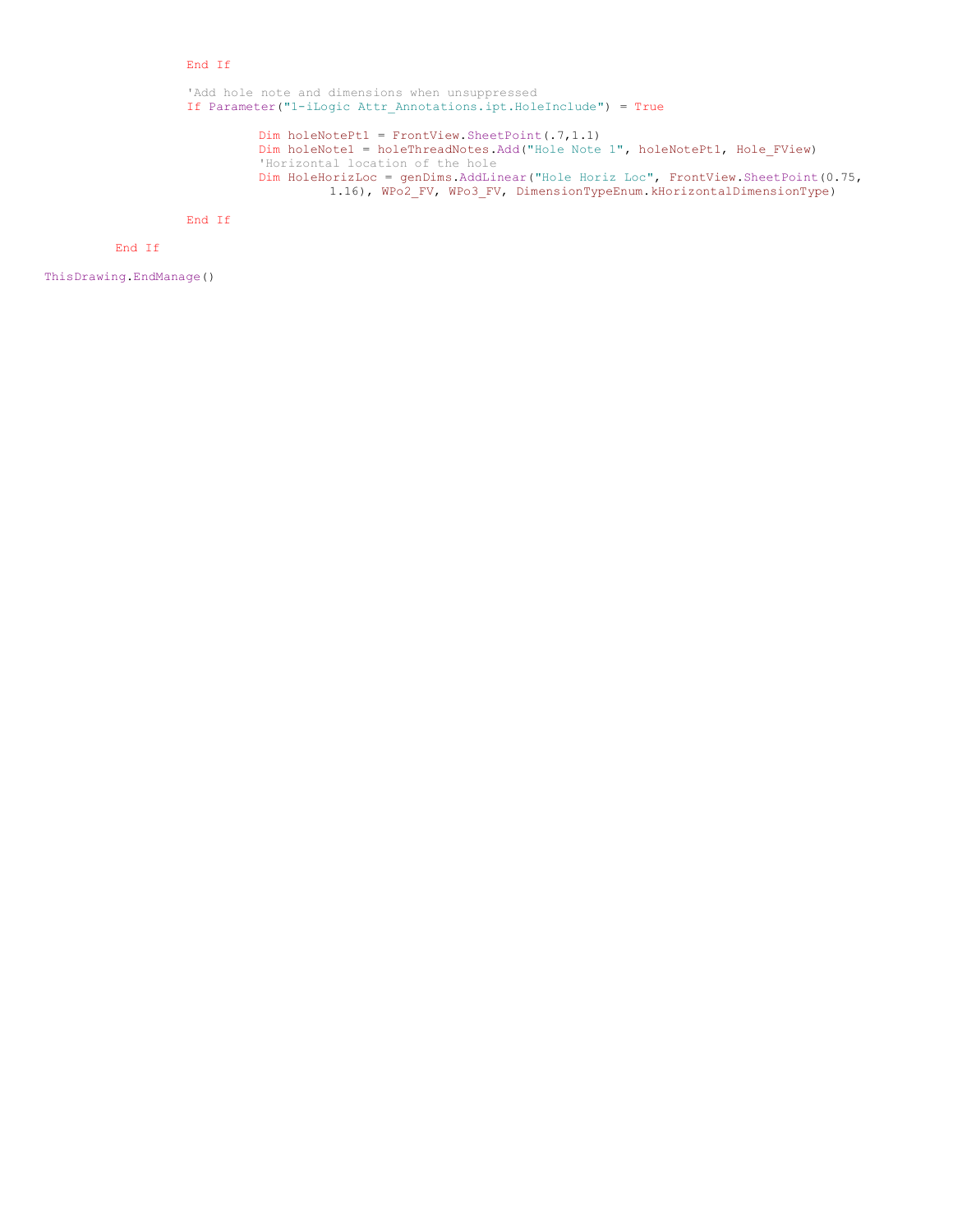## End If

'Add hole note and dimensions when unsuppressed If Parameter("1-iLogic Attr\_Annotations.ipt.HoleInclude") = True

> Dim holeNotePt1 = FrontView.SheetPoint(.7,1.1) Dim holeNote1 = holeThreadNotes.Add("Hole Note 1", holeNotePt1, Hole\_FView) 'Horizontal location of the hole Dim HoleHorizLoc = genDims.AddLinear("Hole Horiz Loc", FrontView.SheetPoint(0.75, 1.16), WPo2 FV, WPo3 FV, DimensionTypeEnum.kHorizontalDimensionType)

End If

End If

ThisDrawing.EndManage()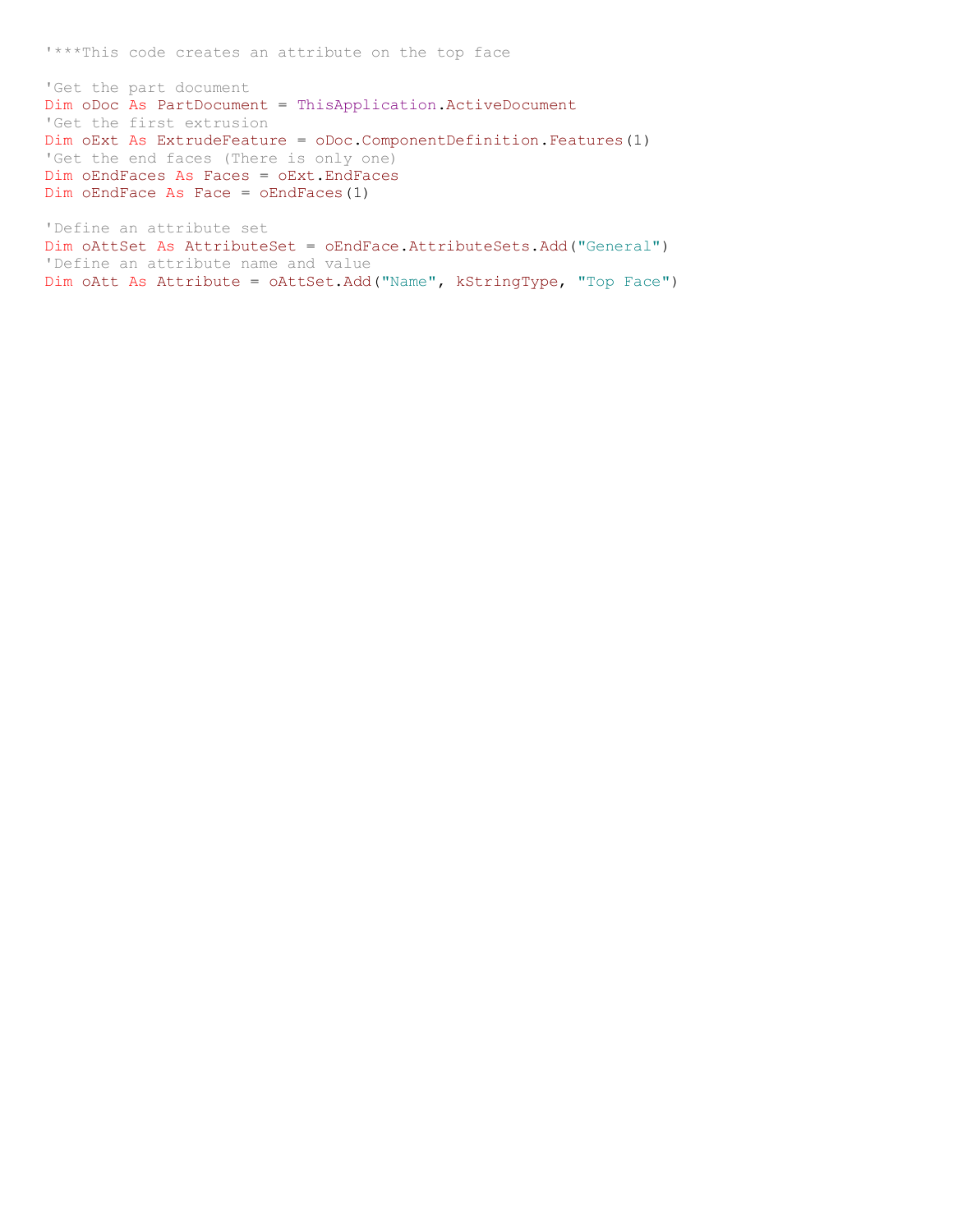'\*\*\*This code creates an attribute on the top face

'Get the part document Dim oDoc As PartDocument = ThisApplication.ActiveDocument 'Get the first extrusion Dim oExt As ExtrudeFeature = oDoc.ComponentDefinition.Features(1) 'Get the end faces (There is only one) Dim oEndFaces As Faces = oExt.EndFaces Dim oEndFace As Face = oEndFaces(1)

'Define an attribute set Dim oAttSet As AttributeSet = oEndFace.AttributeSets.Add("General") 'Define an attribute name and value Dim oAtt As Attribute = oAttSet.Add("Name", kStringType, "Top Face")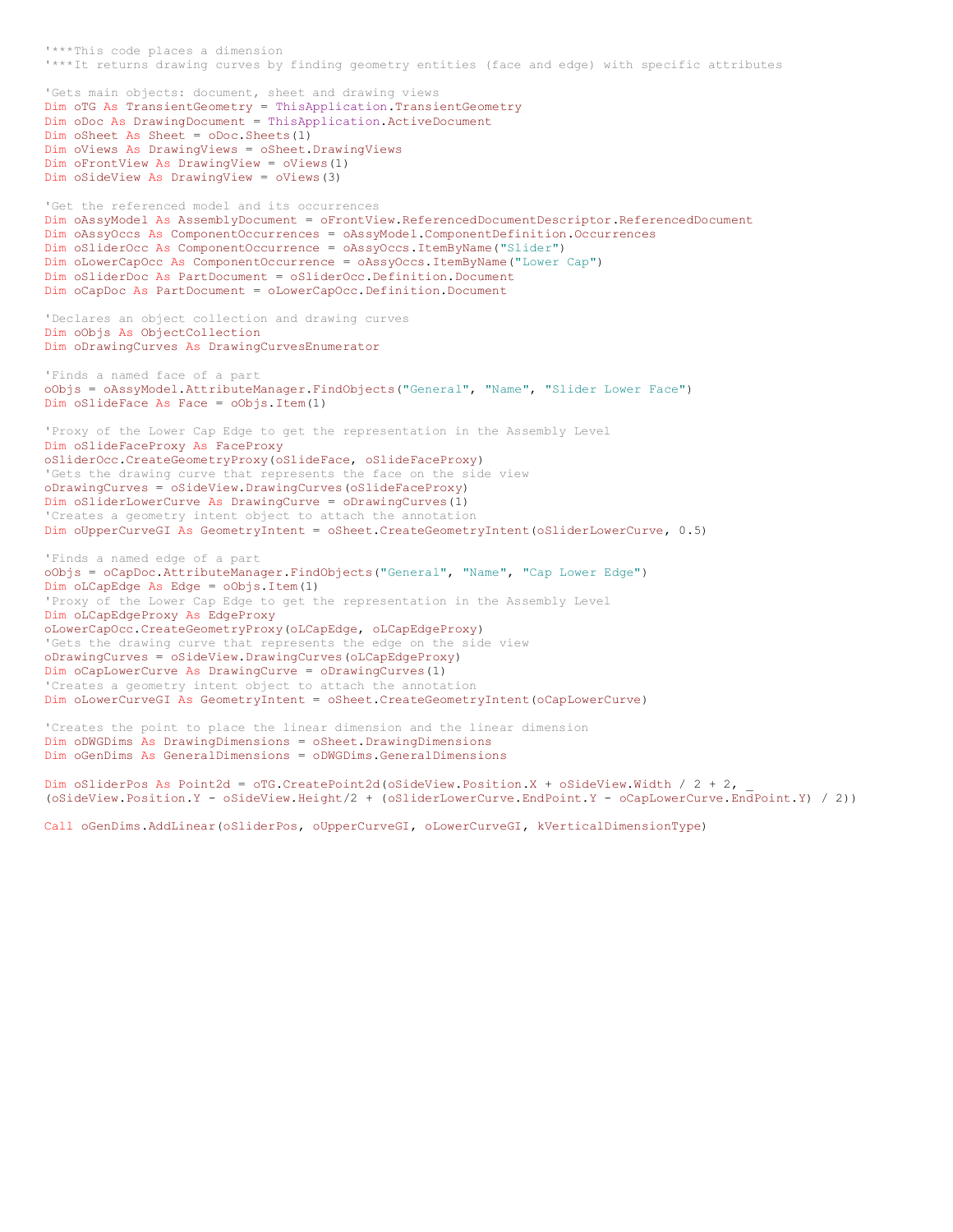'\*\*\*This code places a dimension '\*\*\*It returns drawing curves by finding geometry entities (face and edge) with specific attributes 'Gets main objects: document, sheet and drawing views Dim oTG As TransientGeometry = ThisApplication.TransientGeometry Dim oDoc As DrawingDocument = ThisApplication.ActiveDocument Dim oSheet As Sheet = oDoc.Sheets(1) Dim oViews As DrawingViews = oSheet.DrawingViews Dim oFrontView As DrawingView = oViews(1) Dim oSideView As DrawingView = oViews(3) 'Get the referenced model and its occurrences Dim  $OASSyModel$  As AssemblyDocument = oFrontView.ReferencedDocumentDescriptor.ReferencedDocument Dim oAssyOccs As ComponentOccurrences = oAssyModel.ComponentDefinition.Occurrences Dim oSliderOcc As ComponentOccurrence = oAssyOccs.ItemByName("Slider") Dim oLowerCapOcc As ComponentOccurrence = oAssyOccs.ItemByName("Lower Cap") Dim oSliderDoc As PartDocument = oSliderOcc.Definition.Document Dim oCapDoc As PartDocument = oLowerCapOcc.Definition.Document 'Declares an object collection and drawing curves Dim oObjs As ObjectCollection Dim oDrawingCurves As DrawingCurvesEnumerator 'Finds a named face of a part oObjs = oAssyModel.AttributeManager.FindObjects("General", "Name", "Slider Lower Face") Dim oSlideFace As Face = oObjs.Item(1) 'Proxy of the Lower Cap Edge to get the representation in the Assembly Level Dim oSlideFaceProxy As FaceProxy oSliderOcc.CreateGeometryProxy(oSlideFace, oSlideFaceProxy) 'Gets the drawing curve that represents the face on the side view oDrawingCurves = oSideView.DrawingCurves(oSlideFaceProxy) Dim oSliderLowerCurve As DrawingCurve = oDrawingCurves(1) 'Creates a geometry intent object to attach the annotation Dim oUpperCurveGI As GeometryIntent = oSheet.CreateGeometryIntent(oSliderLowerCurve, 0.5) 'Finds a named edge of a part oObjs = oCapDoc.AttributeManager.FindObjects("General", "Name", "Cap Lower Edge") Dim oLCapEdge As Edge = oObjs.Item(1) 'Proxy of the Lower Cap Edge to get the representation in the Assembly Level Dim oLCapEdgeProxy As EdgeProxy oLowerCapOcc.CreateGeometryProxy(oLCapEdge, oLCapEdgeProxy) 'Gets the drawing curve that represents the edge on the side view oDrawingCurves = oSideView.DrawingCurves(oLCapEdgeProxy) Dim oCapLowerCurve As DrawingCurve = oDrawingCurves(1) 'Creates a geometry intent object to attach the annotation Dim oLowerCurveGI As GeometryIntent = oSheet.CreateGeometryIntent(oCapLowerCurve) 'Creates the point to place the linear dimension and the linear dimension Dim oDWGDims As DrawingDimensions = oSheet.DrawingDimensions Dim oGenDims As GeneralDimensions = oDWGDims.GeneralDimensions Dim oSliderPos As Point2d = oTG.CreatePoint2d(oSideView.Position.X + oSideView.Width / 2 + 2,

(oSideView.Position.Y - oSideView.Height/2 + (oSliderLowerCurve.EndPoint.Y - oCapLowerCurve.EndPoint.Y) / 2))

Call oGenDims.AddLinear(oSliderPos, oUpperCurveGI, oLowerCurveGI, kVerticalDimensionType)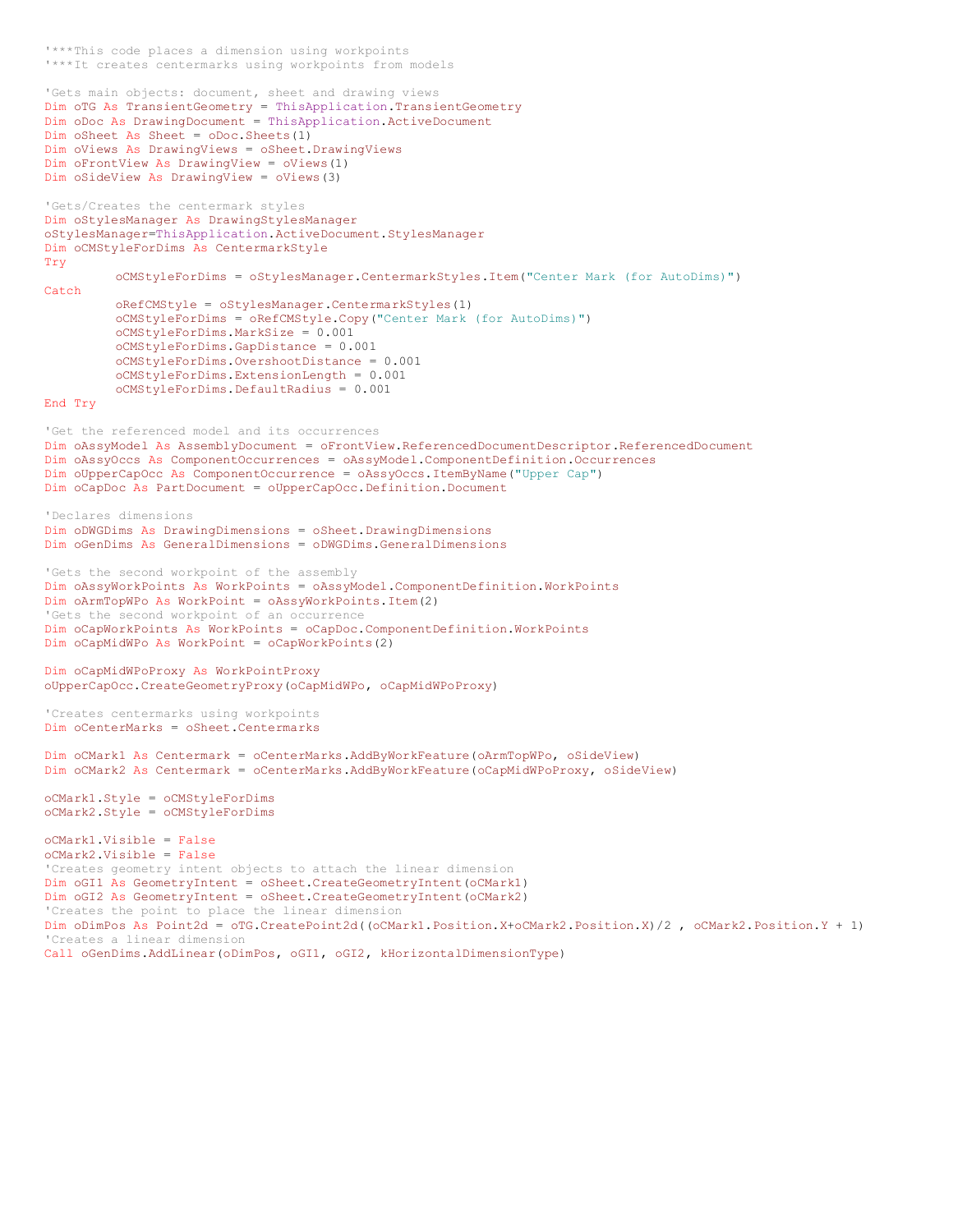```
'***It creates centermarks using workpoints from models
'Gets main objects: document, sheet and drawing views
Dim oTG As TransientGeometry = ThisApplication.TransientGeometry
Dim oDoc As DrawingDocument = ThisApplication.ActiveDocument
Dim oSheet As Sheet = oDoc.Sheets(1)
Dim oViews As DrawingViews = oSheet.DrawingViews
Dim oFrontView As DrawingView = oViews(1)
Dim oSideView As DrawingView = oViews(3)
'Gets/Creates the centermark styles
Dim oStylesManager As DrawingStylesManager
oStylesManager=ThisApplication.ActiveDocument.StylesManager
Dim oCMStyleForDims As CentermarkStyle
Try
         oCMStyleForDims = oStylesManager.CentermarkStyles.Item("Center Mark (for AutoDims)")
Catch
         oRefCMStyle = oStylesManager.CentermarkStyles(1)
         oCMStyleForDims = oRefCMStyle.Copy("Center Mark (for AutoDims)")
         oCMStyleForDims.MarkSize = 0.001
         oCMStyleForDims.GapDistance = 0.001
         oCMStyleForDims.OvershootDistance = 0.001
         oCMStyleForDims.ExtensionLength = 0.001
         oCMStyleForDims.DefaultRadius = 0.001
End Try
'Get the referenced model and its occurrences
Dim oAssyModel As AssemblyDocument = oFrontView.ReferencedDocumentDescriptor.ReferencedDocument
Dim oAssyOccs As ComponentOccurrences = oAssyModel.ComponentDefinition.Occurrences
Dim oUpperCapOcc As ComponentOccurrence = oAssyOccs.ItemByName("Upper Cap")
Dim oCapDoc As PartDocument = oUpperCapOcc.Definition.Document
'Declares dimensions
Dim oDWGDims As DrawingDimensions = oSheet.DrawingDimensions
Dim oGenDims As GeneralDimensions = oDWGDims.GeneralDimensions
'Gets the second workpoint of the assembly
Dim oAssyWorkPoints As WorkPoints = oAssyModel.ComponentDefinition.WorkPoints
Dim oArmTopWPo As WorkPoint = oAssyWorkPoints.Item(2)
'Gets the second workpoint of an occurrence
Dim oCapWorkPoints As WorkPoints = oCapDoc.ComponentDefinition.WorkPoints
Dim oCapMidWPo As WorkPoint = oCapWorkPoints(2)
Dim oCapMidWPoProxy As WorkPointProxy
oUpperCapOcc.CreateGeometryProxy(oCapMidWPo, oCapMidWPoProxy)
'Creates centermarks using workpoints
Dim oCenterMarks = oSheet.Centermarks
Dim oCMark1 As Centermark = oCenterMarks.AddByWorkFeature(oArmTopWPo, oSideView)
Dim oCMark2 As Centermark = oCenterMarks.AddByWorkFeature(oCapMidWPoProxy, oSideView)
oCMark1.Style = oCMStyleForDims
oCMark2.Style = oCMStyleForDims
oCMark1.Visible = False
oCMark2.Visible = False
'Creates geometry intent objects to attach the linear dimension
Dim oGI1 As GeometryIntent = oSheet.CreateGeometryIntent(oCMark1)
Dim oGI2 As GeometryIntent = oSheet.CreateGeometryIntent(oCMark2)
'Creates the point to place the linear dimension
Dim oDimPos As Point2d = oTG.CreatePoint2d((oCMark1.Position.X+oCMark2.Position.X)/2 , oCMark2.Position.Y + 1) 
'Creates a linear dimension
Call oGenDims.AddLinear(oDimPos, oGI1, oGI2, kHorizontalDimensionType)
```
'\*\*\*This code places a dimension using workpoints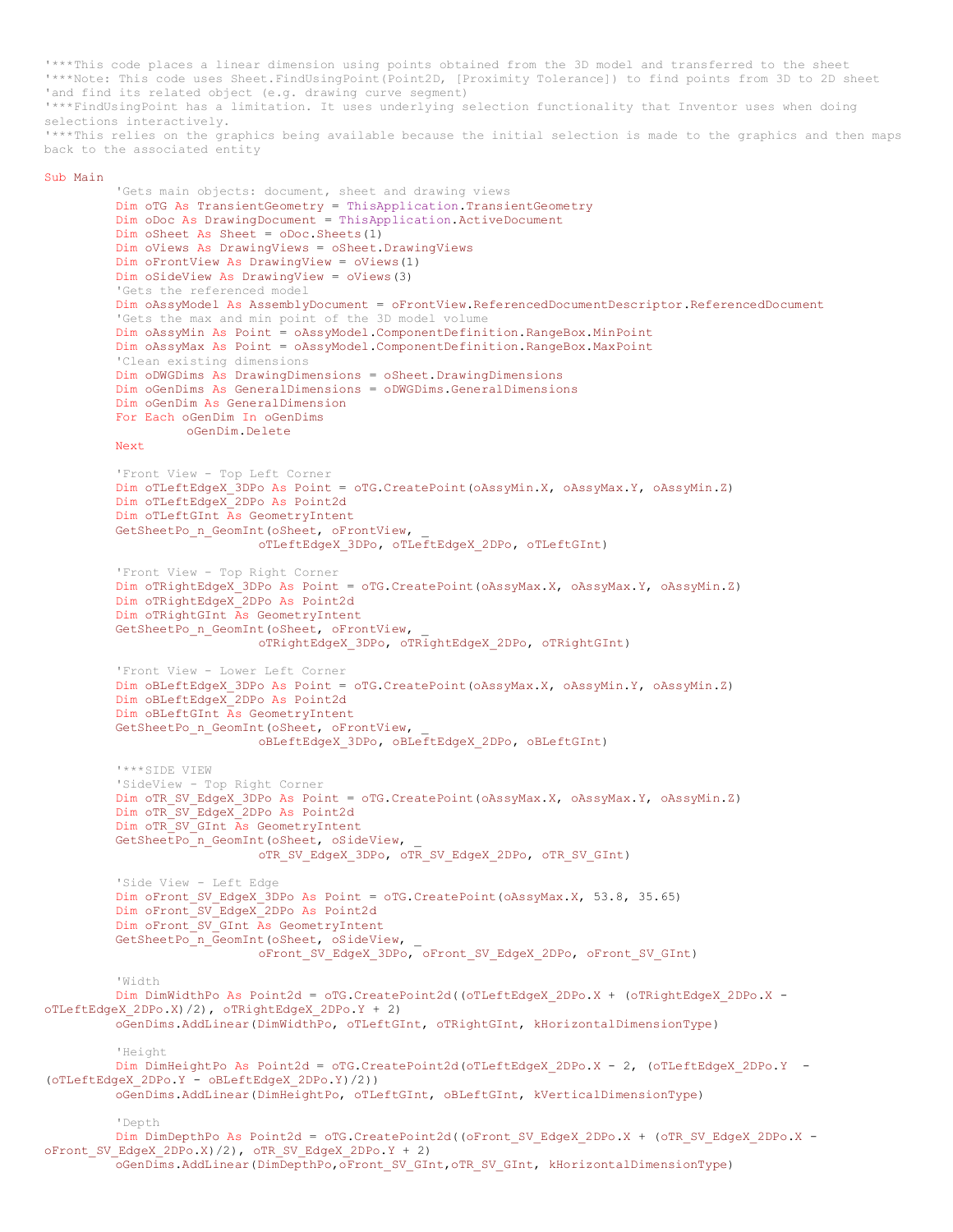'\*\*\*This code places a linear dimension using points obtained from the 3D model and transferred to the sheet '\*\*\*Note: This code uses Sheet.FindUsingPoint(Point2D, [Proximity Tolerance]) to find points from 3D to 2D sheet 'and find its related object (e.g. drawing curve segment) '\*\*\*FindUsingPoint has a limitation. It uses underlying selection functionality that Inventor uses when doing selections interactively. '\*\*\*This relies on the graphics being available because the initial selection is made to the graphics and then maps back to the associated entity

## Sub Main

'Gets main objects: document, sheet and drawing views Dim oTG As TransientGeometry = ThisApplication.TransientGeometry Dim oDoc As DrawingDocument = ThisApplication.ActiveDocument Dim oSheet As Sheet = oDoc.Sheets(1) Dim oViews As DrawingViews = oSheet.DrawingViews Dim oFrontView As DrawingView = oViews(1) Dim oSideView As DrawingView = oViews(3) 'Gets the referenced model Dim oAssyModel As AssemblyDocument = oFrontView.ReferencedDocumentDescriptor.ReferencedDocument 'Gets the max and min point of the 3D model volume Dim oAssyMin As Point = oAssyModel.ComponentDefinition.RangeBox.MinPoint Dim oAssyMax As Point = oAssyModel.ComponentDefinition.RangeBox.MaxPoint 'Clean existing dimensions Dim oDWGDims As DrawingDimensions = oSheet.DrawingDimensions Dim oGenDims As GeneralDimensions = oDWGDims.GeneralDimensions Dim oGenDim As GeneralDimension For Each oGenDim In oGenDims oGenDim.Delete Next 'Front View - Top Left Corner Dim oTLeftEdgeX 3DPo As Point = oTG.CreatePoint(oAssyMin.X, oAssyMax.Y, oAssyMin.Z) Dim oTLeftEdgeX\_2DPo As Point2d Dim oTLeftGInt As GeometryIntent GetSheetPo\_n\_GeomInt(oSheet, oFrontView, oTLeftEdgeX\_3DPo, oTLeftEdgeX\_2DPo, oTLeftGInt) 'Front View - Top Right Corner Dim oTRightEdgeX 3DPo As Point = oTG.CreatePoint(oAssyMax.X, oAssyMax.Y, oAssyMin.Z) Dim oTRightEdgeX\_2DPo As Point2d Dim oTRightGInt As GeometryIntent GetSheetPo\_n\_GeomInt(oSheet, oFrontView, oTRightEdgeX\_3DPo, oTRightEdgeX\_2DPo, oTRightGInt) 'Front View - Lower Left Corner Dim oBLeftEdgeX 3DPo As Point = oTG.CreatePoint(oAssyMax.X, oAssyMin.Y, oAssyMin.Z) Dim oBLeftEdgeX\_2DPo As Point2d Dim oBLeftGInt As GeometryIntent GetSheetPo\_n\_GeomInt(oSheet, oFrontView, oBLeftEdgeX\_3DPo, oBLeftEdgeX\_2DPo, oBLeftGInt) '\*\*\*SIDE VIEW 'SideView - Top Right Corner Dim oTR SV EdgeX 3DPo As Point = oTG.CreatePoint(oAssyMax.X, oAssyMax.Y, oAssyMin.Z) Dim oTR\_SV\_EdgeX\_2DPo As Point2d Dim oTR\_SV\_GInt As GeometryIntent GetSheetPo\_n\_GeomInt(oSheet, oSideView, oTR\_SV\_EdgeX\_3DPo, oTR\_SV\_EdgeX\_2DPo, oTR\_SV\_GInt) 'Side View - Left Edge Dim oFront\_SV\_EdgeX\_3DPo As Point = oTG.CreatePoint(oAssyMax.X, 53.8, 35.65) Dim oFront\_SV\_EdgeX\_2DPo As Point2d Dim oFront SV GInt As GeometryIntent GetSheetPo\_n\_GeomInt(oSheet, oSideView, oFront\_SV\_EdgeX\_3DPo, oFront\_SV\_EdgeX\_2DPo, oFront\_SV\_GInt) 'Width Dim DimWidthPo As Point2d = oTG.CreatePoint2d((oTLeftEdgeX 2DPo.X + (oTRightEdgeX 2DPo.X oTLeftEdgeX\_2DPo.X)/2), oTRightEdgeX\_2DPo.Y + 2) oGenDims.AddLinear(DimWidthPo, oTLeftGInt, oTRightGInt, kHorizontalDimensionType) 'Height Dim DimHeightPo As Point2d = oTG.CreatePoint2d(oTLeftEdgeX\_2DPo.X - 2, (oTLeftEdgeX\_2DPo.Y -(oTLeftEdgeX\_2DPo.Y - oBLeftEdgeX\_2DPo.Y)/2)) oGenDims.AddLinear(DimHeightPo, oTLeftGInt, oBLeftGInt, kVerticalDimensionType) 'Depth Dim DimDepthPo As Point2d = oTG.CreatePoint2d((oFront SV EdgeX 2DPo.X + (oTR SV EdgeX 2DPo.X oFront SV EdgeX 2DPo.X)/2), oTR SV EdgeX 2DPo.Y + 2)

```
oGenDims.AddLinear(DimDepthPo,oFront_SV_GInt,oTR_SV_GInt, kHorizontalDimensionType)
```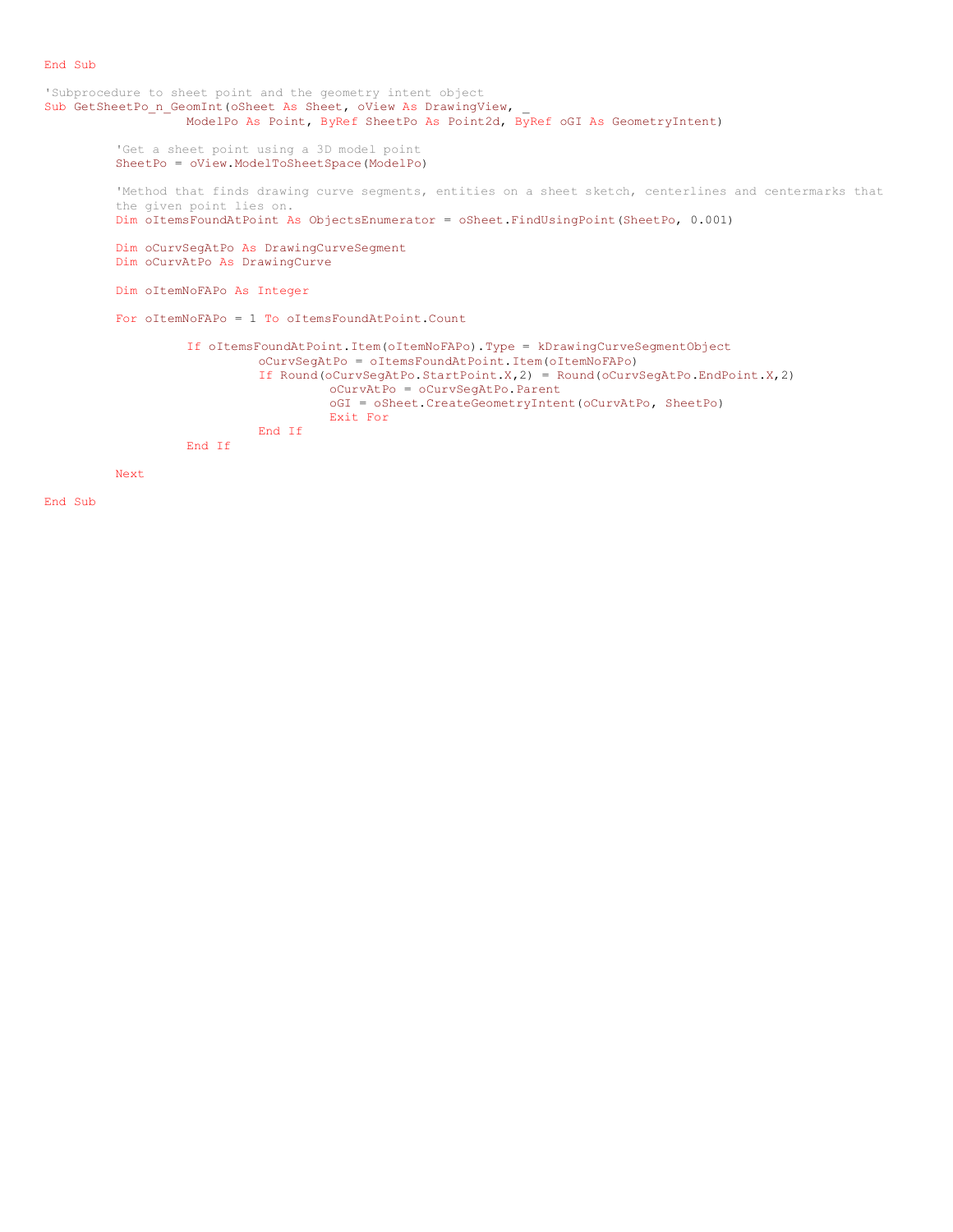## End Sub

```
'Subprocedure to sheet point and the geometry intent object
Sub GetSheetPo n GeomInt(oSheet As Sheet, oView As DrawingView,
                  ModelPo As Point, ByRef SheetPo As Point2d, ByRef oGI As GeometryIntent)
         'Get a sheet point using a 3D model point
         SheetPo = oView.ModelToSheetSpace(ModelPo)
         'Method that finds drawing curve segments, entities on a sheet sketch, centerlines and centermarks that
         the given point lies on.
         Dim oItemsFoundAtPoint As ObjectsEnumerator = oSheet.FindUsingPoint(SheetPo, 0.001)
         Dim oCurvSegAtPo As DrawingCurveSegment
         Dim oCurvAtPo As DrawingCurve
         Dim oItemNoFAPo As Integer
         For oItemNoFAPo = 1 To oItemsFoundAtPoint.Count
                   If oItemsFoundAtPoint.Item(oItemNoFAPo).Type = kDrawingCurveSegmentObject
                            oCurvSegAtPo = oItemsFoundAtPoint.Item(oItemNoFAPo)
                            If Round(oCurvSegAtPo.StartPoint.X,2) = Round(oCurvSegAtPo.EndPoint.X,2)
                                      oCurvAtPo = oCurvSegAtPo.Parent
                                      oGI = oSheet.CreateGeometryIntent(oCurvAtPo, SheetPo)
                                      Exit For
                            End If
                  End If
         Next
```
End Sub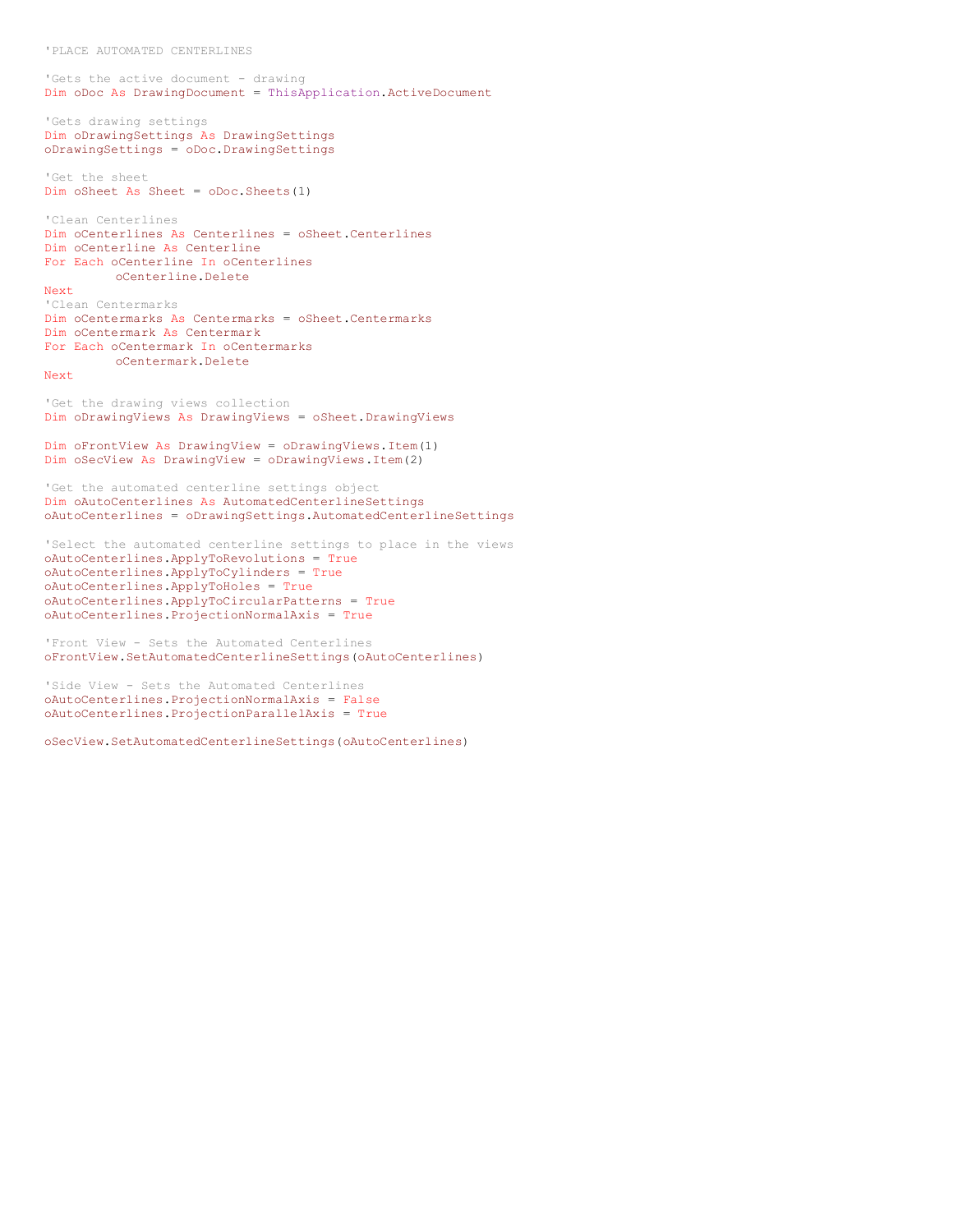'PLACE AUTOMATED CENTERLINES

```
'Gets the active document - drawing
Dim oDoc As DrawingDocument = ThisApplication.ActiveDocument
```

```
'Gets drawing settings
Dim oDrawingSettings As DrawingSettings
oDrawingSettings = oDoc.DrawingSettings
```

```
'Get the sheet
Dim oSheet As Sheet = oDoc.Sheets(1)
```

```
'Clean Centerlines
Dim oCenterlines As Centerlines = oSheet.Centerlines
Dim oCenterline As Centerline
For Each oCenterline In oCenterlines
         oCenterline.Delete
Next
```
'Clean Centermarks Dim oCentermarks As Centermarks = oSheet.Centermarks Dim oCentermark As Centermark For Each oCentermark In oCentermarks oCentermark.Delete

## Next

```
'Get the drawing views collection
Dim oDrawingViews As DrawingViews = oSheet.DrawingViews
```

```
Dim oFrontView As DrawingView = oDrawingViews.Item(1)
Dim oSecView As DrawingView = oDrawingViews.Item(2)
```

```
'Get the automated centerline settings object
Dim oAutoCenterlines As AutomatedCenterlineSettings
oAutoCenterlines = oDrawingSettings.AutomatedCenterlineSettings
```

```
'Select the automated centerline settings to place in the views
oAutoCenterlines.ApplyToRevolutions = True
oAutoCenterlines.ApplyToCylinders = True
oAutoCenterlines.ApplyToHoles = True
oAutoCenterlines.ApplyToCircularPatterns = True
oAutoCenterlines.ProjectionNormalAxis = True
```

```
'Front View - Sets the Automated Centerlines
oFrontView.SetAutomatedCenterlineSettings(oAutoCenterlines)
```

```
'Side View - Sets the Automated Centerlines
oAutoCenterlines.ProjectionNormalAxis = False
oAutoCenterlines.ProjectionParallelAxis = True
```
oSecView.SetAutomatedCenterlineSettings(oAutoCenterlines)